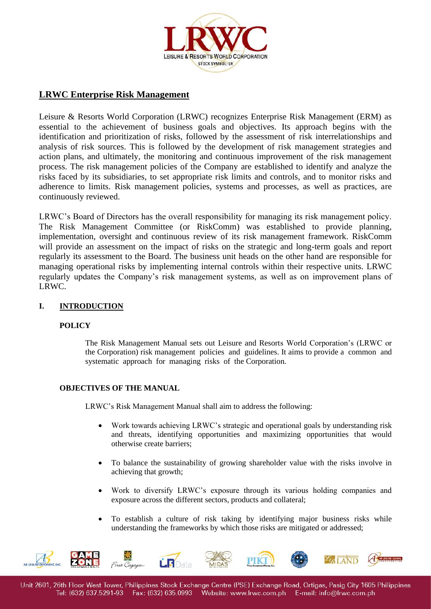

# **LRWC Enterprise Risk Management**

Leisure & Resorts World Corporation (LRWC) recognizes Enterprise Risk Management (ERM) as essential to the achievement of business goals and objectives. Its approach begins with the identification and prioritization of risks, followed by the assessment of risk interrelationships and analysis of risk sources. This is followed by the development of risk management strategies and action plans, and ultimately, the monitoring and continuous improvement of the risk management process. The risk management policies of the Company are established to identify and analyze the risks faced by its subsidiaries, to set appropriate risk limits and controls, and to monitor risks and adherence to limits. Risk management policies, systems and processes, as well as practices, are continuously reviewed.

LRWC's Board of Directors has the overall responsibility for managing its risk management policy. The Risk Management Committee (or RiskComm) was established to provide planning, implementation, oversight and continuous review of its risk management framework. RiskComm will provide an assessment on the impact of risks on the strategic and long-term goals and report regularly its assessment to the Board. The business unit heads on the other hand are responsible for managing operational risks by implementing internal controls within their respective units. LRWC regularly updates the Company's risk management systems, as well as on improvement plans of LRWC.

# **I. INTRODUCTION**

# **POLICY**

The Risk Management Manual sets out Leisure and Resorts World Corporation's (LRWC or the Corporation) risk management policies and guidelines. It aims to provide a common and systematic approach for managing risks of the Corporation.

# **OBJECTIVES OF THE MANUAL**

LRWC's Risk Management Manual shall aim to address the following:

- Work towards achieving LRWC's strategic and operational goals by understanding risk and threats, identifying opportunities and maximizing opportunities that would otherwise create barriers;
- To balance the sustainability of growing shareholder value with the risks involve in achieving that growth;
- Work to diversify LRWC's exposure through its various holding companies and exposure across the different sectors, products and collateral;
- To establish a culture of risk taking by identifying major business risks while understanding the frameworks by which those risks are mitigated or addressed;

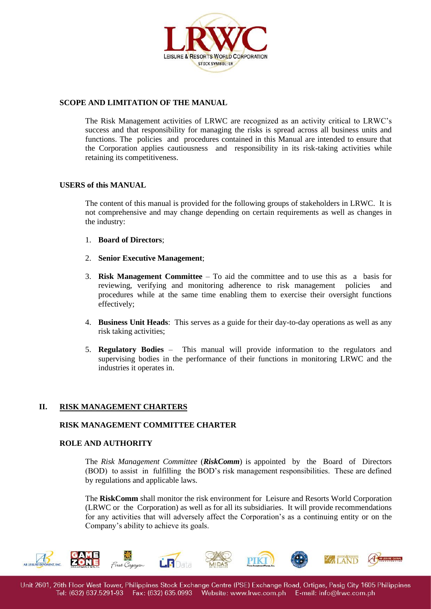

# **SCOPE AND LIMITATION OF THE MANUAL**

The Risk Management activities of LRWC are recognized as an activity critical to LRWC's success and that responsibility for managing the risks is spread across all business units and functions. The policies and procedures contained in this Manual are intended to ensure that the Corporation applies cautiousness and responsibility in its risk-taking activities while retaining its competitiveness.

#### **USERS of this MANUAL**

The content of this manual is provided for the following groups of stakeholders in LRWC. It is not comprehensive and may change depending on certain requirements as well as changes in the industry:

- 1. **Board of Directors**;
- 2. **Senior Executive Management**;
- 3. **Risk Management Committee** To aid the committee and to use this as a basis for reviewing, verifying and monitoring adherence to risk management policies and procedures while at the same time enabling them to exercise their oversight functions effectively;
- 4. **Business Unit Heads**: This serves as a guide for their day-to-day operations as well as any risk taking activities;
- 5. **Regulatory Bodies** This manual will provide information to the regulators and supervising bodies in the performance of their functions in monitoring LRWC and the industries it operates in.

### **II. RISK MANAGEMENT CHARTERS**

### **RISK MANAGEMENT COMMITTEE CHARTER**

#### **ROLE AND AUTHORITY**

The *Risk Management Committee* (*RiskComm*) is appointed by the Board of Directors (BOD) to assist in fulfilling the BOD's risk management responsibilities. These are defined by regulations and applicable laws.

The **RiskComm** shall monitor the risk environment for Leisure and Resorts World Corporation (LRWC or the Corporation) as well as for all its subsidiaries. It will provide recommendations for any activities that will adversely affect the Corporation's as a continuing entity or on the Company's ability to achieve its goals.

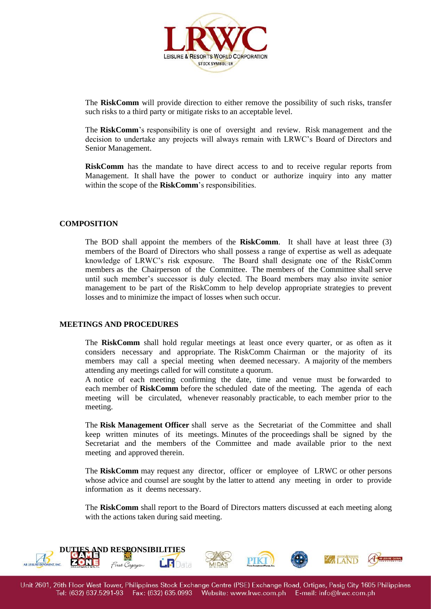

The **RiskComm** will provide direction to either remove the possibility of such risks, transfer such risks to a third party or mitigate risks to an acceptable level.

The **RiskComm**'s responsibility is one of oversight and review. Risk management and the decision to undertake any projects will always remain with LRWC's Board of Directors and Senior Management.

**RiskComm** has the mandate to have direct access to and to receive regular reports from Management. It shall have the power to conduct or authorize inquiry into any matter within the scope of the **RiskComm**'s responsibilities.

## **COMPOSITION**

The BOD shall appoint the members of the **RiskComm**. It shall have at least three (3) members of the Board of Directors who shall possess a range of expertise as well as adequate knowledge of LRWC's risk exposure. The Board shall designate one of the RiskComm members as the Chairperson of the Committee. The members of the Committee shall serve until such member's successor is duly elected. The Board members may also invite senior management to be part of the RiskComm to help develop appropriate strategies to prevent losses and to minimize the impact of losses when such occur.

### **MEETINGS AND PROCEDURES**

The **RiskComm** shall hold regular meetings at least once every quarter, or as often as it considers necessary and appropriate. The RiskComm Chairman or the majority of its members may call a special meeting when deemed necessary. A majority of the members attending any meetings called for will constitute a quorum.

A notice of each meeting confirming the date, time and venue must be forwarded to each member of **RiskComm** before the scheduled date of the meeting. The agenda of each meeting will be circulated, whenever reasonably practicable, to each member prior to the meeting.

The **Risk Management Officer** shall serve as the Secretariat of the Committee and shall keep written minutes of its meetings. Minutes of the proceedings shall be signed by the Secretariat and the members of the Committee and made available prior to the next meeting and approved therein.

The **RiskComm** may request any director, officer or employee of LRWC or other persons whose advice and counsel are sought by the latter to attend any meeting in order to provide information as it deems necessary.

The **RiskComm** shall report to the Board of Directors matters discussed at each meeting along with the actions taken during said meeting.

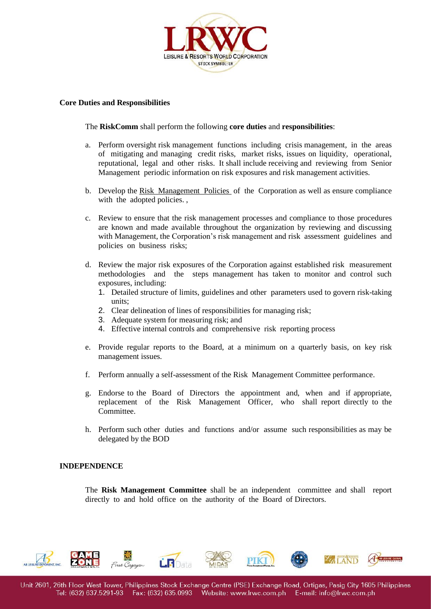

### **Core Duties and Responsibilities**

The **RiskComm** shall perform the following **core duties** and **responsibilities**:

- a. Perform oversight risk management functions including crisis management, in the areas of mitigating and managing credit risks, market risks, issues on liquidity, operational, reputational, legal and other risks. It shall include receiving and reviewing from Senior Management periodic information on risk exposures and risk management activities.
- b. Develop the Risk Management Policies of the Corporation as well as ensure compliance with the adopted policies.
- c. Review to ensure that the risk management processes and compliance to those procedures are known and made available throughout the organization by reviewing and discussing with Management, the Corporation's risk management and risk assessment guidelines and policies on business risks;
- d. Review the major risk exposures of the Corporation against established risk measurement methodologies and the steps management has taken to monitor and control such exposures, including:
	- 1. Detailed structure of limits, guidelines and other parameters used to govern risk-taking units;
	- 2. Clear delineation of lines of responsibilities for managing risk;
	- 3. Adequate system for measuring risk; and
	- 4. Effective internal controls and comprehensive risk reporting process
- e. Provide regular reports to the Board, at a minimum on a quarterly basis, on key risk management issues.
- f. Perform annually a self-assessment of the Risk Management Committee performance.
- g. Endorse to the Board of Directors the appointment and, when and if appropriate, replacement of the Risk Management Officer, who shall report directly to the Committee.
- h. Perform such other duties and functions and/or assume such responsibilities as may be delegated by the BOD

# **INDEPENDENCE**

The **Risk Management Committee** shall be an independent committee and shall report directly to and hold office on the authority of the Board of Directors.

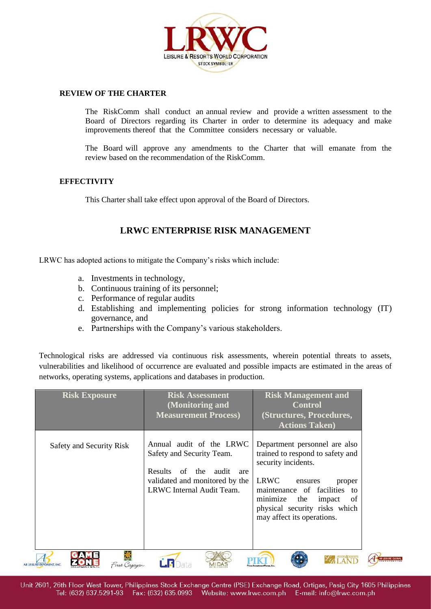

### **REVIEW OF THE CHARTER**

The RiskComm shall conduct an annual review and provide a written assessment to the Board of Directors regarding its Charter in order to determine its adequacy and make improvements thereof that the Committee considers necessary or valuable.

The Board will approve any amendments to the Charter that will emanate from the review based on the recommendation of the RiskComm.

## **EFFECTIVITY**

This Charter shall take effect upon approval of the Board of Directors.

# **LRWC ENTERPRISE RISK MANAGEMENT**

LRWC has adopted actions to mitigate the Company's risks which include:

- a. Investments in technology,
- b. Continuous training of its personnel;
- c. Performance of regular audits
- d. Establishing and implementing policies for strong information technology (IT) governance, and
- e. Partnerships with the Company's various stakeholders.

Technological risks are addressed via continuous risk assessments, wherein potential threats to assets, vulnerabilities and likelihood of occurrence are evaluated and possible impacts are estimated in the areas of networks, operating systems, applications and databases in production.

| <b>Risk Exposure</b>             |               | <b>Risk Assessment</b><br>(Monitoring and<br><b>Measurement Process)</b>                                                                                            | <b>Risk Management and</b><br><b>Control</b><br>(Structures, Procedures,<br><b>Actions Taken</b> )                                                                                                                                                                     |
|----------------------------------|---------------|---------------------------------------------------------------------------------------------------------------------------------------------------------------------|------------------------------------------------------------------------------------------------------------------------------------------------------------------------------------------------------------------------------------------------------------------------|
| Safety and Security Risk         |               | Annual audit of the LRWC<br>Safety and Security Team.<br><b>Results</b><br>of<br>the<br>audit<br>are<br>validated and monitored by the<br>LRWC Internal Audit Team. | Department personnel are also<br>trained to respond to safety and<br>security incidents.<br>LRWC<br>ensures<br>proper<br>maintenance of facilities<br>$\overline{t}$<br>minimize<br>the<br>impact<br>of<br>physical security risks which<br>may affect its operations. |
| <b>AB LEISURE EXPONENT, INC.</b> | First Casavan |                                                                                                                                                                     |                                                                                                                                                                                                                                                                        |

Unit 2601, 26th Floor West Tower, Philippines Stock Exchange Centre (PSE) Exchange Road, Ortigas, Pasig City 1605 Philippines Tel: (632) 637.5291-93 Fax: (632) 635.0993 Website: www.lrwc.com.ph E-mail: info@lrwc.com.ph

AB LEISURE GLOBAL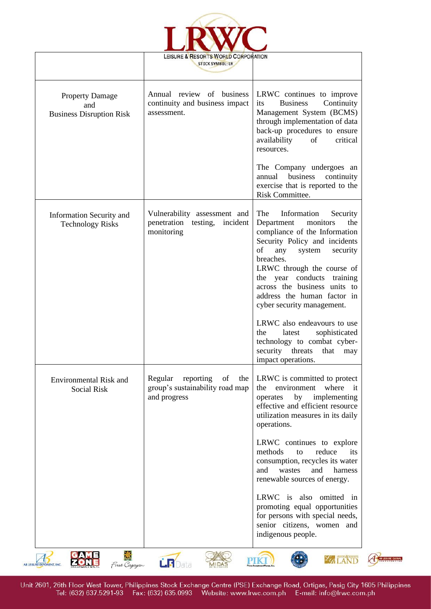

 $\overline{\phantom{a}}$ 

٦

A AB LEISURE GLOBAL

|                                                                  | LEISURE & RESORTS WORLD CORPORATION<br><b>STOCK SYMBOL: LR</b>                       |                                                                                                                                                                                                                                                                                                                                            |
|------------------------------------------------------------------|--------------------------------------------------------------------------------------|--------------------------------------------------------------------------------------------------------------------------------------------------------------------------------------------------------------------------------------------------------------------------------------------------------------------------------------------|
| <b>Property Damage</b><br>and<br><b>Business Disruption Risk</b> | Annual review of business<br>continuity and business impact<br>assessment.           | LRWC continues to improve<br><b>Business</b><br>Continuity<br>its<br>Management System (BCMS)<br>through implementation of data<br>back-up procedures to ensure<br>availability<br>of<br>critical<br>resources.                                                                                                                            |
|                                                                  |                                                                                      | The Company undergoes an<br>annual business<br>continuity<br>exercise that is reported to the<br>Risk Committee.                                                                                                                                                                                                                           |
| <b>Information Security and</b><br><b>Technology Risks</b>       | Vulnerability assessment and<br>penetration testing,<br>incident<br>monitoring       | The<br>Information<br>Security<br>Department<br>monitors<br>the<br>compliance of the Information<br>Security Policy and incidents<br>of<br>any<br>system<br>security<br>breaches.<br>LRWC through the course of<br>the year conducts training<br>across the business units to<br>address the human factor in<br>cyber security management. |
|                                                                  |                                                                                      | LRWC also endeavours to use<br>sophisticated<br>the<br>latest<br>technology to combat cyber-<br>security threats<br>that<br>may<br>impact operations.                                                                                                                                                                                      |
| <b>Environmental Risk and</b><br><b>Social Risk</b>              | Regular<br>reporting<br>of<br>the<br>group's sustainability road map<br>and progress | LRWC is committed to protect<br>environment<br>where<br>the<br>- it<br>by<br>implementing<br>operates<br>effective and efficient resource<br>utilization measures in its daily<br>operations.                                                                                                                                              |
|                                                                  |                                                                                      | LRWC continues to explore<br>methods<br>reduce<br>to<br>its<br>consumption, recycles its water<br>and<br>wastes<br>and<br>harness<br>renewable sources of energy.                                                                                                                                                                          |
|                                                                  |                                                                                      | LRWC is also omitted in<br>promoting equal opportunities<br>for persons with special needs,<br>senior citizens, women and<br>indigenous people.                                                                                                                                                                                            |
| First Cagayan<br>AB LEISURE EXPONENT, INC.                       | <b>LR</b> Data                                                                       |                                                                                                                                                                                                                                                                                                                                            |